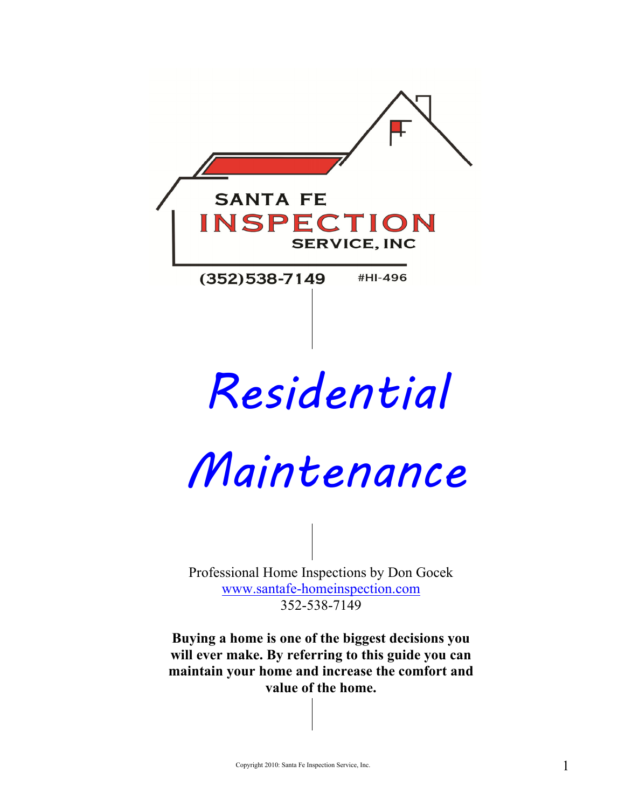

# Residential

Maintenance

Professional Home Inspections by Don Gocek www.santafe-homeinspection.com 352-538-7149

**Buying a home is one of the biggest decisions you will ever make. By referring to this guide you can maintain your home and increase the comfort and value of the home.**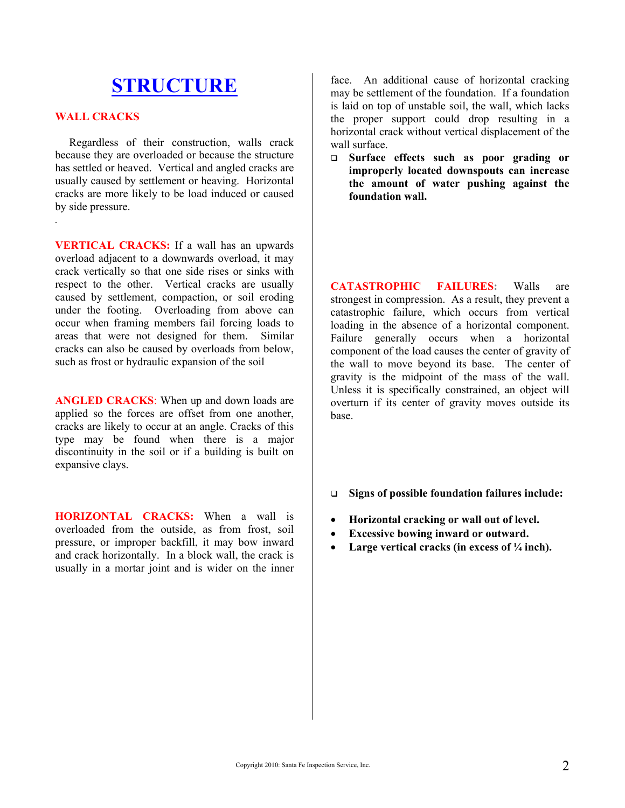# **STRUCTURE**

#### **WALL CRACKS**

*.* 

 Regardless of their construction, walls crack because they are overloaded or because the structure has settled or heaved. Vertical and angled cracks are usually caused by settlement or heaving. Horizontal cracks are more likely to be load induced or caused by side pressure.

**VERTICAL CRACKS:** If a wall has an upwards overload adjacent to a downwards overload, it may crack vertically so that one side rises or sinks with respect to the other. Vertical cracks are usually caused by settlement, compaction, or soil eroding under the footing. Overloading from above can occur when framing members fail forcing loads to areas that were not designed for them. Similar cracks can also be caused by overloads from below, such as frost or hydraulic expansion of the soil

**ANGLED CRACKS:** When up and down loads are applied so the forces are offset from one another, cracks are likely to occur at an angle. Cracks of this type may be found when there is a major discontinuity in the soil or if a building is built on expansive clays.

**HORIZONTAL CRACKS:** When a wall is overloaded from the outside, as from frost, soil pressure, or improper backfill, it may bow inward and crack horizontally. In a block wall, the crack is usually in a mortar joint and is wider on the inner

face. An additional cause of horizontal cracking may be settlement of the foundation. If a foundation is laid on top of unstable soil, the wall, which lacks the proper support could drop resulting in a horizontal crack without vertical displacement of the wall surface.

 **Surface effects such as poor grading or improperly located downspouts can increase the amount of water pushing against the foundation wall.** 

**CATASTROPHIC FAILURES:** Walls are strongest in compression. As a result, they prevent a catastrophic failure, which occurs from vertical loading in the absence of a horizontal component. Failure generally occurs when a horizontal component of the load causes the center of gravity of the wall to move beyond its base. The center of gravity is the midpoint of the mass of the wall. Unless it is specifically constrained, an object will overturn if its center of gravity moves outside its base.

- **Signs of possible foundation failures include:**
- **Horizontal cracking or wall out of level.**
- **Excessive bowing inward or outward.**
- **Large vertical cracks (in excess of ¼ inch).**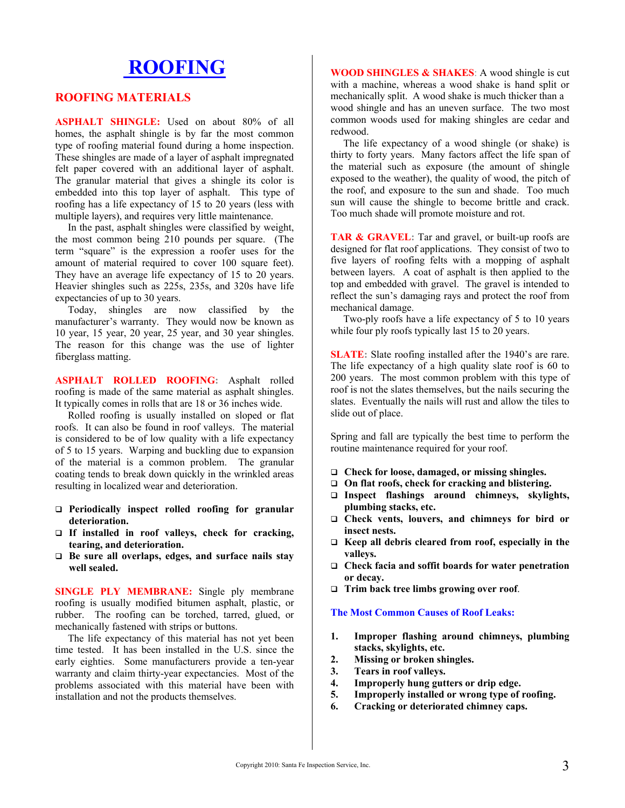# **ROOFING**

#### **ROOFING MATERIALS**

**ASPHALT SHINGLE:** Used on about 80% of all homes, the asphalt shingle is by far the most common type of roofing material found during a home inspection. These shingles are made of a layer of asphalt impregnated felt paper covered with an additional layer of asphalt. The granular material that gives a shingle its color is embedded into this top layer of asphalt. This type of roofing has a life expectancy of 15 to 20 years (less with multiple layers), and requires very little maintenance.

 In the past, asphalt shingles were classified by weight, the most common being 210 pounds per square. (The term "square" is the expression a roofer uses for the amount of material required to cover 100 square feet). They have an average life expectancy of 15 to 20 years. Heavier shingles such as 225s, 235s, and 320s have life expectancies of up to 30 years.

 Today, shingles are now classified by the manufacturer's warranty. They would now be known as 10 year, 15 year, 20 year, 25 year, and 30 year shingles. The reason for this change was the use of lighter fiberglass matting.

**ASPHALT ROLLED ROOFING:** Asphalt rolled roofing is made of the same material as asphalt shingles. It typically comes in rolls that are 18 or 36 inches wide.

 Rolled roofing is usually installed on sloped or flat roofs. It can also be found in roof valleys. The material is considered to be of low quality with a life expectancy of 5 to 15 years. Warping and buckling due to expansion of the material is a common problem. The granular coating tends to break down quickly in the wrinkled areas resulting in localized wear and deterioration.

- **Periodically inspect rolled roofing for granular deterioration.**
- **If installed in roof valleys, check for cracking, tearing, and deterioration.**
- **Be sure all overlaps, edges, and surface nails stay well sealed.**

**SINGLE PLY MEMBRANE:** Single ply membrane roofing is usually modified bitumen asphalt, plastic, or rubber. The roofing can be torched, tarred, glued, or mechanically fastened with strips or buttons.

 The life expectancy of this material has not yet been time tested. It has been installed in the U.S. since the early eighties. Some manufacturers provide a ten-year warranty and claim thirty-year expectancies. Most of the problems associated with this material have been with installation and not the products themselves.

**WOOD SHINGLES & SHAKES**: A wood shingle is cut with a machine, whereas a wood shake is hand split or mechanically split. A wood shake is much thicker than a wood shingle and has an uneven surface. The two most common woods used for making shingles are cedar and redwood.

 The life expectancy of a wood shingle (or shake) is thirty to forty years. Many factors affect the life span of the material such as exposure (the amount of shingle exposed to the weather), the quality of wood, the pitch of the roof, and exposure to the sun and shade. Too much sun will cause the shingle to become brittle and crack. Too much shade will promote moisture and rot.

**TAR & GRAVEL:** Tar and gravel, or built-up roofs are designed for flat roof applications. They consist of two to five layers of roofing felts with a mopping of asphalt between layers. A coat of asphalt is then applied to the top and embedded with gravel. The gravel is intended to reflect the sun's damaging rays and protect the roof from mechanical damage.

 Two-ply roofs have a life expectancy of 5 to 10 years while four ply roofs typically last 15 to 20 years.

**SLATE:** Slate roofing installed after the 1940's are rare. The life expectancy of a high quality slate roof is 60 to 200 years. The most common problem with this type of roof is not the slates themselves, but the nails securing the slates. Eventually the nails will rust and allow the tiles to slide out of place.

Spring and fall are typically the best time to perform the routine maintenance required for your roof.

- **Check for loose, damaged, or missing shingles.**
- **On flat roofs, check for cracking and blistering.**
- **Inspect flashings around chimneys, skylights, plumbing stacks, etc.**
- **Check vents, louvers, and chimneys for bird or insect nests.**
- **Keep all debris cleared from roof, especially in the valleys.**
- **Check facia and soffit boards for water penetration or decay.**
- **Trim back tree limbs growing over roof**.

#### **The Most Common Causes of Roof Leaks:**

- **1. Improper flashing around chimneys, plumbing stacks, skylights, etc.**
- **2. Missing or broken shingles.**
- **3. Tears in roof valleys.**
- **4. Improperly hung gutters or drip edge.**
- **5. Improperly installed or wrong type of roofing.**
- **6. Cracking or deteriorated chimney caps.**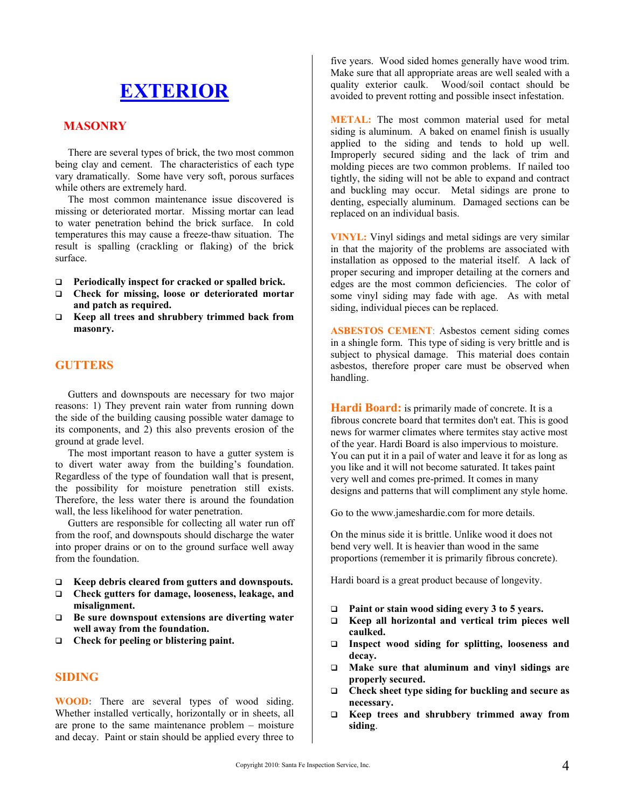# **EXTERIOR**

#### **MASONRY**

 There are several types of brick, the two most common being clay and cement. The characteristics of each type vary dramatically. Some have very soft, porous surfaces while others are extremely hard.

 The most common maintenance issue discovered is missing or deteriorated mortar. Missing mortar can lead to water penetration behind the brick surface. In cold temperatures this may cause a freeze-thaw situation. The result is spalling (crackling or flaking) of the brick surface.

- **Periodically inspect for cracked or spalled brick.**
- **Check for missing, loose or deteriorated mortar and patch as required.**
- **Keep all trees and shrubbery trimmed back from masonry.**

### **GUTTERS**

 Gutters and downspouts are necessary for two major reasons: 1) They prevent rain water from running down the side of the building causing possible water damage to its components, and 2) this also prevents erosion of the ground at grade level.

 The most important reason to have a gutter system is to divert water away from the building's foundation. Regardless of the type of foundation wall that is present, the possibility for moisture penetration still exists. Therefore, the less water there is around the foundation wall, the less likelihood for water penetration.

 Gutters are responsible for collecting all water run off from the roof, and downspouts should discharge the water into proper drains or on to the ground surface well away from the foundation.

- **Keep debris cleared from gutters and downspouts.**
- **Check gutters for damage, looseness, leakage, and misalignment.**
- **Be sure downspout extensions are diverting water well away from the foundation.**
- **Check for peeling or blistering paint.**

#### **SIDING**

**WOOD:** There are several types of wood siding. Whether installed vertically, horizontally or in sheets, all are prone to the same maintenance problem – moisture and decay. Paint or stain should be applied every three to

five years. Wood sided homes generally have wood trim. Make sure that all appropriate areas are well sealed with a quality exterior caulk. Wood/soil contact should be avoided to prevent rotting and possible insect infestation.

**METAL:** The most common material used for metal siding is aluminum. A baked on enamel finish is usually applied to the siding and tends to hold up well. Improperly secured siding and the lack of trim and molding pieces are two common problems. If nailed too tightly, the siding will not be able to expand and contract and buckling may occur. Metal sidings are prone to denting, especially aluminum. Damaged sections can be replaced on an individual basis.

**VINYL:** Vinyl sidings and metal sidings are very similar in that the majority of the problems are associated with installation as opposed to the material itself. A lack of proper securing and improper detailing at the corners and edges are the most common deficiencies. The color of some vinyl siding may fade with age. As with metal siding, individual pieces can be replaced.

**ASBESTOS CEMENT**: Asbestos cement siding comes in a shingle form. This type of siding is very brittle and is subject to physical damage. This material does contain asbestos, therefore proper care must be observed when handling.

Hardi Board: is primarily made of concrete. It is a fibrous concrete board that termites don't eat. This is good news for warmer climates where termites stay active most of the year. Hardi Board is also impervious to moisture. You can put it in a pail of water and leave it for as long as you like and it will not become saturated. It takes paint very well and comes pre-primed. It comes in many designs and patterns that will compliment any style home.

Go to the www.jameshardie.com for more details.

On the minus side it is brittle. Unlike wood it does not bend very well. It is heavier than wood in the same proportions (remember it is primarily fibrous concrete).

Hardi board is a great product because of longevity.

- **Paint or stain wood siding every 3 to 5 years.**
- **Keep all horizontal and vertical trim pieces well caulked.**
- **Inspect wood siding for splitting, looseness and decay.**
- **Make sure that aluminum and vinyl sidings are properly secured.**
- **Check sheet type siding for buckling and secure as necessary.**
- **Keep trees and shrubbery trimmed away from siding**.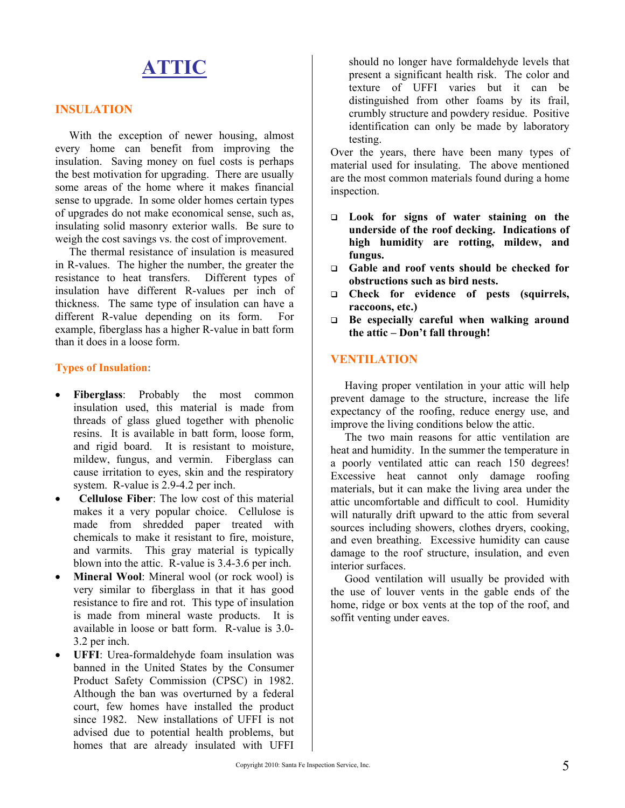# **ATTIC**

#### **INSULATION**

 With the exception of newer housing, almost every home can benefit from improving the insulation. Saving money on fuel costs is perhaps the best motivation for upgrading. There are usually some areas of the home where it makes financial sense to upgrade. In some older homes certain types of upgrades do not make economical sense, such as, insulating solid masonry exterior walls. Be sure to weigh the cost savings vs. the cost of improvement.

 The thermal resistance of insulation is measured in R-values. The higher the number, the greater the resistance to heat transfers. Different types of insulation have different R-values per inch of thickness. The same type of insulation can have a different R-value depending on its form. For example, fiberglass has a higher R-value in batt form than it does in a loose form.

#### **Types of Insulation:**

- **Fiberglass**: Probably the most common insulation used, this material is made from threads of glass glued together with phenolic resins. It is available in batt form, loose form, and rigid board. It is resistant to moisture, mildew, fungus, and vermin. Fiberglass can cause irritation to eyes, skin and the respiratory system. R-value is 2.9-4.2 per inch.
- **Cellulose Fiber**: The low cost of this material makes it a very popular choice. Cellulose is made from shredded paper treated with chemicals to make it resistant to fire, moisture, and varmits. This gray material is typically blown into the attic. R-value is 3.4-3.6 per inch.
- **Mineral Wool**: Mineral wool (or rock wool) is very similar to fiberglass in that it has good resistance to fire and rot. This type of insulation is made from mineral waste products. It is available in loose or batt form. R-value is 3.0- 3.2 per inch.
- **UFFI**: Urea-formaldehyde foam insulation was banned in the United States by the Consumer Product Safety Commission (CPSC) in 1982. Although the ban was overturned by a federal court, few homes have installed the product since 1982. New installations of UFFI is not advised due to potential health problems, but homes that are already insulated with UFFI

should no longer have formaldehyde levels that present a significant health risk. The color and texture of UFFI varies but it can be distinguished from other foams by its frail, crumbly structure and powdery residue. Positive identification can only be made by laboratory testing.

Over the years, there have been many types of material used for insulating. The above mentioned are the most common materials found during a home inspection.

- **Look for signs of water staining on the underside of the roof decking. Indications of high humidity are rotting, mildew, and fungus.**
- **Gable and roof vents should be checked for obstructions such as bird nests.**
- **Check for evidence of pests (squirrels, raccoons, etc.)**
- **Be especially careful when walking around the attic – Don't fall through!**

### **VENTILATION**

 Having proper ventilation in your attic will help prevent damage to the structure, increase the life expectancy of the roofing, reduce energy use, and improve the living conditions below the attic.

 The two main reasons for attic ventilation are heat and humidity. In the summer the temperature in a poorly ventilated attic can reach 150 degrees! Excessive heat cannot only damage roofing materials, but it can make the living area under the attic uncomfortable and difficult to cool. Humidity will naturally drift upward to the attic from several sources including showers, clothes dryers, cooking, and even breathing. Excessive humidity can cause damage to the roof structure, insulation, and even interior surfaces.

 Good ventilation will usually be provided with the use of louver vents in the gable ends of the home, ridge or box vents at the top of the roof, and soffit venting under eaves.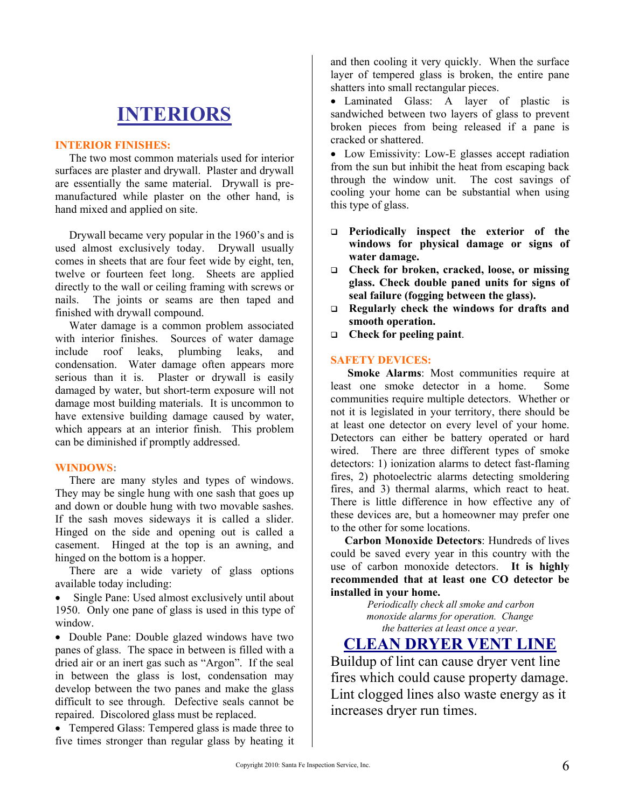# **INTERIORS**

#### **INTERIOR FINISHES:**

 The two most common materials used for interior surfaces are plaster and drywall. Plaster and drywall are essentially the same material. Drywall is premanufactured while plaster on the other hand, is hand mixed and applied on site.

 Drywall became very popular in the 1960's and is used almost exclusively today. Drywall usually comes in sheets that are four feet wide by eight, ten, twelve or fourteen feet long. Sheets are applied directly to the wall or ceiling framing with screws or nails. The joints or seams are then taped and finished with drywall compound.

 Water damage is a common problem associated with interior finishes. Sources of water damage include roof leaks, plumbing leaks, and condensation. Water damage often appears more serious than it is. Plaster or drywall is easily damaged by water, but short-term exposure will not damage most building materials. It is uncommon to have extensive building damage caused by water, which appears at an interior finish. This problem can be diminished if promptly addressed.

#### **WINDOWS:**

 There are many styles and types of windows. They may be single hung with one sash that goes up and down or double hung with two movable sashes. If the sash moves sideways it is called a slider. Hinged on the side and opening out is called a casement. Hinged at the top is an awning, and hinged on the bottom is a hopper.

 There are a wide variety of glass options available today including:

 Single Pane: Used almost exclusively until about 1950. Only one pane of glass is used in this type of window.

• Double Pane: Double glazed windows have two panes of glass. The space in between is filled with a dried air or an inert gas such as "Argon". If the seal in between the glass is lost, condensation may develop between the two panes and make the glass difficult to see through. Defective seals cannot be repaired. Discolored glass must be replaced.

• Tempered Glass: Tempered glass is made three to five times stronger than regular glass by heating it

and then cooling it very quickly. When the surface layer of tempered glass is broken, the entire pane shatters into small rectangular pieces.

 Laminated Glass: A layer of plastic is sandwiched between two layers of glass to prevent broken pieces from being released if a pane is cracked or shattered.

• Low Emissivity: Low-E glasses accept radiation from the sun but inhibit the heat from escaping back through the window unit. The cost savings of cooling your home can be substantial when using this type of glass.

- **Periodically inspect the exterior of the windows for physical damage or signs of water damage.**
- **Check for broken, cracked, loose, or missing glass. Check double paned units for signs of seal failure (fogging between the glass).**
- **Regularly check the windows for drafts and smooth operation.**
- **Check for peeling paint**.

#### **SAFETY DEVICES:**

 **Smoke Alarms**: Most communities require at least one smoke detector in a home. Some communities require multiple detectors. Whether or not it is legislated in your territory, there should be at least one detector on every level of your home. Detectors can either be battery operated or hard wired. There are three different types of smoke detectors: 1) ionization alarms to detect fast-flaming fires, 2) photoelectric alarms detecting smoldering fires, and 3) thermal alarms, which react to heat. There is little difference in how effective any of these devices are, but a homeowner may prefer one to the other for some locations.

 **Carbon Monoxide Detectors**: Hundreds of lives could be saved every year in this country with the use of carbon monoxide detectors. **It is highly recommended that at least one CO detector be installed in your home.** 

*Periodically check all smoke and carbon monoxide alarms for operation. Change the batteries at least once a year*.

# **CLEAN DRYER VENT LINE**

Buildup of lint can cause dryer vent line fires which could cause property damage. Lint clogged lines also waste energy as it increases dryer run times.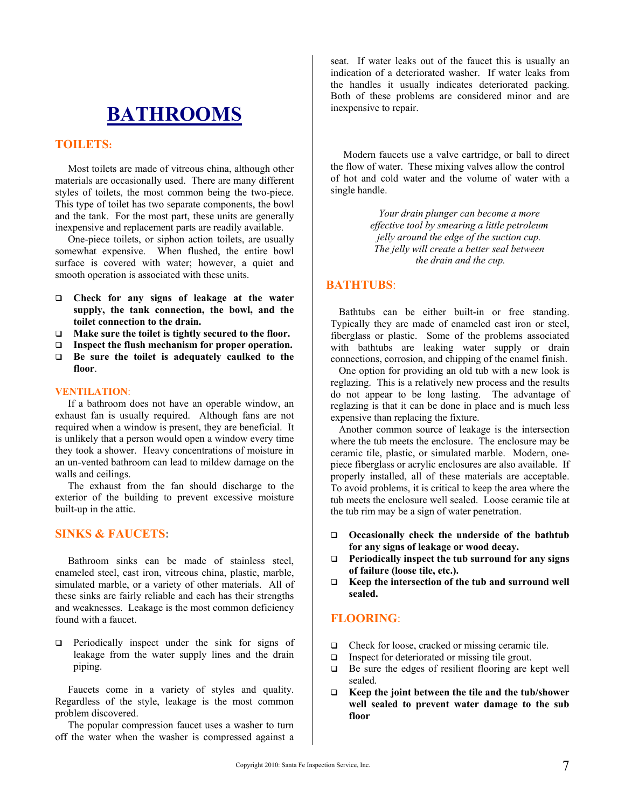# **BATHROOMS**

#### **TOILETS:**

 Most toilets are made of vitreous china, although other materials are occasionally used. There are many different styles of toilets, the most common being the two-piece. This type of toilet has two separate components, the bowl and the tank. For the most part, these units are generally inexpensive and replacement parts are readily available.

 One-piece toilets, or siphon action toilets, are usually somewhat expensive. When flushed, the entire bowl surface is covered with water; however, a quiet and smooth operation is associated with these units.

- **Check for any signs of leakage at the water supply, the tank connection, the bowl, and the toilet connection to the drain.**
- **Make sure the toilet is tightly secured to the floor.**
- **Inspect the flush mechanism for proper operation.**
- **Be sure the toilet is adequately caulked to the floor**.

#### **VENTILATION**:

 If a bathroom does not have an operable window, an exhaust fan is usually required. Although fans are not required when a window is present, they are beneficial. It is unlikely that a person would open a window every time they took a shower. Heavy concentrations of moisture in an un-vented bathroom can lead to mildew damage on the walls and ceilings.

 The exhaust from the fan should discharge to the exterior of the building to prevent excessive moisture built-up in the attic.

#### **SINKS & FAUCETS:**

 Bathroom sinks can be made of stainless steel, enameled steel, cast iron, vitreous china, plastic, marble, simulated marble, or a variety of other materials. All of these sinks are fairly reliable and each has their strengths and weaknesses. Leakage is the most common deficiency found with a faucet.

 $\Box$  Periodically inspect under the sink for signs of leakage from the water supply lines and the drain piping.

 Faucets come in a variety of styles and quality. Regardless of the style, leakage is the most common problem discovered.

 The popular compression faucet uses a washer to turn off the water when the washer is compressed against a seat. If water leaks out of the faucet this is usually an indication of a deteriorated washer. If water leaks from the handles it usually indicates deteriorated packing. Both of these problems are considered minor and are inexpensive to repair.

 Modern faucets use a valve cartridge, or ball to direct the flow of water. These mixing valves allow the control of hot and cold water and the volume of water with a single handle.

> *Your drain plunger can become a more effective tool by smearing a little petroleum jelly around the edge of the suction cup. The jelly will create a better seal between the drain and the cup.*

#### **BATHTUBS**:

 Bathtubs can be either built-in or free standing. Typically they are made of enameled cast iron or steel, fiberglass or plastic. Some of the problems associated with bathtubs are leaking water supply or drain connections, corrosion, and chipping of the enamel finish.

 One option for providing an old tub with a new look is reglazing. This is a relatively new process and the results do not appear to be long lasting. The advantage of reglazing is that it can be done in place and is much less expensive than replacing the fixture.

 Another common source of leakage is the intersection where the tub meets the enclosure. The enclosure may be ceramic tile, plastic, or simulated marble. Modern, onepiece fiberglass or acrylic enclosures are also available. If properly installed, all of these materials are acceptable. To avoid problems, it is critical to keep the area where the tub meets the enclosure well sealed. Loose ceramic tile at the tub rim may be a sign of water penetration.

- **Occasionally check the underside of the bathtub for any signs of leakage or wood decay.**
- **Periodically inspect the tub surround for any signs of failure (loose tile, etc.).**
- **Keep the intersection of the tub and surround well sealed.**

#### **FLOORING**:

- $\Box$  Check for loose, cracked or missing ceramic tile.
- $\Box$  Inspect for deteriorated or missing tile grout.
- $\Box$  Be sure the edges of resilient flooring are kept well sealed.
- **Keep the joint between the tile and the tub/shower well sealed to prevent water damage to the sub floor**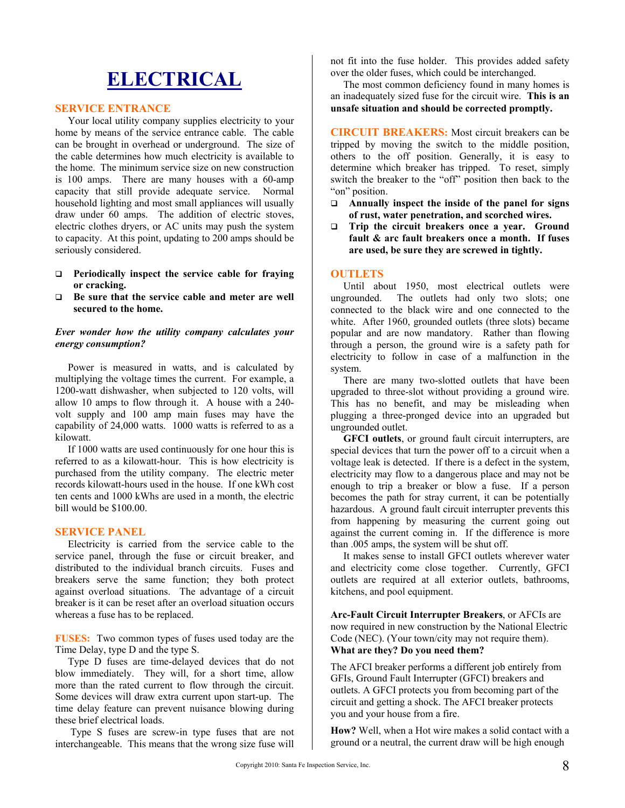# **ELECTRICAL**

#### **SERVICE ENTRANCE**

 Your local utility company supplies electricity to your home by means of the service entrance cable. The cable can be brought in overhead or underground. The size of the cable determines how much electricity is available to the home. The minimum service size on new construction is 100 amps. There are many houses with a 60-amp capacity that still provide adequate service. Normal household lighting and most small appliances will usually draw under 60 amps. The addition of electric stoves, electric clothes dryers, or AC units may push the system to capacity. At this point, updating to 200 amps should be seriously considered.

- **Periodically inspect the service cable for fraying or cracking.**
- **Be sure that the service cable and meter are well secured to the home.**

#### *Ever wonder how the utility company calculates your energy consumption?*

 Power is measured in watts, and is calculated by multiplying the voltage times the current. For example, a 1200-watt dishwasher, when subjected to 120 volts, will allow 10 amps to flow through it. A house with a 240 volt supply and 100 amp main fuses may have the capability of 24,000 watts. 1000 watts is referred to as a kilowatt.

 If 1000 watts are used continuously for one hour this is referred to as a kilowatt-hour. This is how electricity is purchased from the utility company. The electric meter records kilowatt-hours used in the house. If one kWh cost ten cents and 1000 kWhs are used in a month, the electric bill would be \$100.00.

#### **SERVICE PANEL**

 Electricity is carried from the service cable to the service panel, through the fuse or circuit breaker, and distributed to the individual branch circuits. Fuses and breakers serve the same function; they both protect against overload situations. The advantage of a circuit breaker is it can be reset after an overload situation occurs whereas a fuse has to be replaced.

**FUSES:** Two common types of fuses used today are the Time Delay, type D and the type S.

 Type D fuses are time-delayed devices that do not blow immediately. They will, for a short time, allow more than the rated current to flow through the circuit. Some devices will draw extra current upon start-up. The time delay feature can prevent nuisance blowing during these brief electrical loads.

 Type S fuses are screw-in type fuses that are not interchangeable. This means that the wrong size fuse will not fit into the fuse holder. This provides added safety over the older fuses, which could be interchanged.

 The most common deficiency found in many homes is an inadequately sized fuse for the circuit wire. **This is an unsafe situation and should be corrected promptly.** 

**CIRCUIT BREAKERS:** Most circuit breakers can be tripped by moving the switch to the middle position, others to the off position. Generally, it is easy to determine which breaker has tripped. To reset, simply switch the breaker to the "off" position then back to the "on" position.

- **Annually inspect the inside of the panel for signs of rust, water penetration, and scorched wires.**
- **Trip the circuit breakers once a year.** Ground **fault & arc fault breakers once a month. If fuses are used, be sure they are screwed in tightly.**

#### **OUTLETS**

 Until about 1950, most electrical outlets were ungrounded. The outlets had only two slots; one connected to the black wire and one connected to the white. After 1960, grounded outlets (three slots) became popular and are now mandatory. Rather than flowing through a person, the ground wire is a safety path for electricity to follow in case of a malfunction in the system.

 There are many two-slotted outlets that have been upgraded to three-slot without providing a ground wire. This has no benefit, and may be misleading when plugging a three-pronged device into an upgraded but ungrounded outlet.

 **GFCI outlets**, or ground fault circuit interrupters, are special devices that turn the power off to a circuit when a voltage leak is detected. If there is a defect in the system, electricity may flow to a dangerous place and may not be enough to trip a breaker or blow a fuse. If a person becomes the path for stray current, it can be potentially hazardous. A ground fault circuit interrupter prevents this from happening by measuring the current going out against the current coming in. If the difference is more than .005 amps, the system will be shut off.

 It makes sense to install GFCI outlets wherever water and electricity come close together. Currently, GFCI outlets are required at all exterior outlets, bathrooms, kitchens, and pool equipment.

**Arc-Fault Circuit Interrupter Breakers**, or AFCIs are now required in new construction by the National Electric Code (NEC). (Your town/city may not require them). **What are they? Do you need them?**

The AFCI breaker performs a different job entirely from GFIs, Ground Fault Interrupter (GFCI) breakers and outlets. A GFCI protects you from becoming part of the circuit and getting a shock. The AFCI breaker protects you and your house from a fire.

**How?** Well, when a Hot wire makes a solid contact with a ground or a neutral, the current draw will be high enough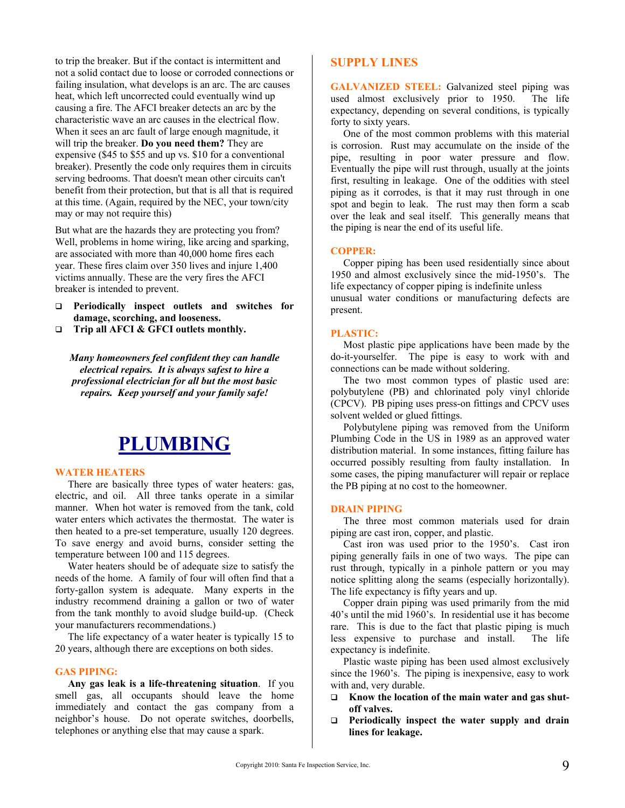to trip the breaker. But if the contact is intermittent and not a solid contact due to loose or corroded connections or failing insulation, what develops is an arc. The arc causes heat, which left uncorrected could eventually wind up causing a fire. The AFCI breaker detects an arc by the characteristic wave an arc causes in the electrical flow. When it sees an arc fault of large enough magnitude, it will trip the breaker. **Do you need them?** They are expensive (\$45 to \$55 and up vs. \$10 for a conventional breaker). Presently the code only requires them in circuits serving bedrooms. That doesn't mean other circuits can't benefit from their protection, but that is all that is required at this time. (Again, required by the NEC, your town/city may or may not require this)

But what are the hazards they are protecting you from? Well, problems in home wiring, like arcing and sparking, are associated with more than 40,000 home fires each year. These fires claim over 350 lives and injure 1,400 victims annually. These are the very fires the AFCI breaker is intended to prevent.

- **Periodically inspect outlets and switches for damage, scorching, and looseness.**
- **Trip all AFCI & GFCI outlets monthly.**

*Many homeowners feel confident they can handle electrical repairs. It is always safest to hire a professional electrician for all but the most basic repairs. Keep yourself and your family safe!* 

# **PLUMBING**

#### **WATER HEATERS**

 There are basically three types of water heaters: gas, electric, and oil. All three tanks operate in a similar manner. When hot water is removed from the tank, cold water enters which activates the thermostat. The water is then heated to a pre-set temperature, usually 120 degrees. To save energy and avoid burns, consider setting the temperature between 100 and 115 degrees.

 Water heaters should be of adequate size to satisfy the needs of the home. A family of four will often find that a forty-gallon system is adequate. Many experts in the industry recommend draining a gallon or two of water from the tank monthly to avoid sludge build-up. (Check your manufacturers recommendations.)

 The life expectancy of a water heater is typically 15 to 20 years, although there are exceptions on both sides.

#### **GAS PIPING:**

 **Any gas leak is a life-threatening situation**. If you smell gas, all occupants should leave the home immediately and contact the gas company from a neighbor's house. Do not operate switches, doorbells, telephones or anything else that may cause a spark.

#### **SUPPLY LINES**

**GALVANIZED STEEL:** Galvanized steel piping was used almost exclusively prior to 1950. The life expectancy, depending on several conditions, is typically forty to sixty years.

 One of the most common problems with this material is corrosion. Rust may accumulate on the inside of the pipe, resulting in poor water pressure and flow. Eventually the pipe will rust through, usually at the joints first, resulting in leakage. One of the oddities with steel piping as it corrodes, is that it may rust through in one spot and begin to leak. The rust may then form a scab over the leak and seal itself. This generally means that the piping is near the end of its useful life.

#### **COPPER:**

 Copper piping has been used residentially since about 1950 and almost exclusively since the mid-1950's. The life expectancy of copper piping is indefinite unless unusual water conditions or manufacturing defects are present.

#### **PLASTIC:**

 Most plastic pipe applications have been made by the do-it-yourselfer. The pipe is easy to work with and connections can be made without soldering.

 The two most common types of plastic used are: polybutylene (PB) and chlorinated poly vinyl chloride (CPCV). PB piping uses press-on fittings and CPCV uses solvent welded or glued fittings.

 Polybutylene piping was removed from the Uniform Plumbing Code in the US in 1989 as an approved water distribution material. In some instances, fitting failure has occurred possibly resulting from faulty installation. In some cases, the piping manufacturer will repair or replace the PB piping at no cost to the homeowner.

#### **DRAIN PIPING**

 The three most common materials used for drain piping are cast iron, copper, and plastic.

 Cast iron was used prior to the 1950's. Cast iron piping generally fails in one of two ways. The pipe can rust through, typically in a pinhole pattern or you may notice splitting along the seams (especially horizontally). The life expectancy is fifty years and up.

 Copper drain piping was used primarily from the mid 40's until the mid 1960's. In residential use it has become rare. This is due to the fact that plastic piping is much less expensive to purchase and install. The life expectancy is indefinite.

 Plastic waste piping has been used almost exclusively since the 1960's. The piping is inexpensive, easy to work with and, very durable.

- **Know the location of the main water and gas shutoff valves.**
- **Periodically inspect the water supply and drain lines for leakage.**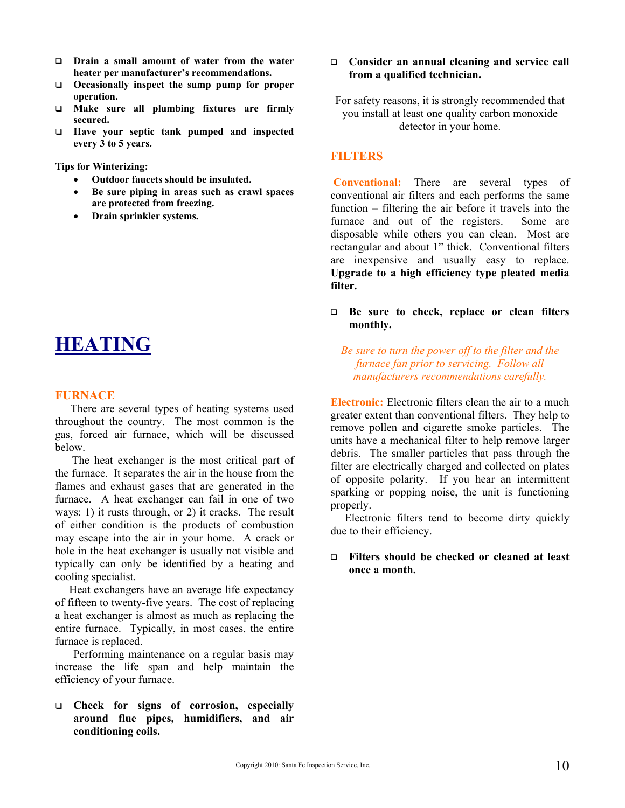- **Drain a small amount of water from the water heater per manufacturer's recommendations.**
- **Occasionally inspect the sump pump for proper operation.**
- **Make sure all plumbing fixtures are firmly secured.**
- **Have your septic tank pumped and inspected every 3 to 5 years.**

**Tips for Winterizing:** 

- **Outdoor faucets should be insulated.**
- **Be sure piping in areas such as crawl spaces are protected from freezing.**
- **Drain sprinkler systems.**

# **HEATING**

#### **FURNACE**

 There are several types of heating systems used throughout the country. The most common is the gas, forced air furnace, which will be discussed below.

 The heat exchanger is the most critical part of the furnace. It separates the air in the house from the flames and exhaust gases that are generated in the furnace. A heat exchanger can fail in one of two ways: 1) it rusts through, or 2) it cracks. The result of either condition is the products of combustion may escape into the air in your home. A crack or hole in the heat exchanger is usually not visible and typically can only be identified by a heating and cooling specialist.

 Heat exchangers have an average life expectancy of fifteen to twenty-five years. The cost of replacing a heat exchanger is almost as much as replacing the entire furnace. Typically, in most cases, the entire furnace is replaced.

Performing maintenance on a regular basis may increase the life span and help maintain the efficiency of your furnace.

 **Check for signs of corrosion, especially around flue pipes, humidifiers, and air conditioning coils.** 

#### **Consider an annual cleaning and service call from a qualified technician.**

For safety reasons, it is strongly recommended that you install at least one quality carbon monoxide detector in your home.

#### **FILTERS**

 **Conventional:** There are several types of conventional air filters and each performs the same function – filtering the air before it travels into the furnace and out of the registers. Some are disposable while others you can clean. Most are rectangular and about 1" thick. Conventional filters are inexpensive and usually easy to replace. **Upgrade to a high efficiency type pleated media filter.** 

 **Be sure to check, replace or clean filters monthly.** 

*Be sure to turn the power off to the filter and the furnace fan prior to servicing. Follow all manufacturers recommendations carefully.* 

**Electronic:** Electronic filters clean the air to a much greater extent than conventional filters. They help to remove pollen and cigarette smoke particles. The units have a mechanical filter to help remove larger debris. The smaller particles that pass through the filter are electrically charged and collected on plates of opposite polarity. If you hear an intermittent sparking or popping noise, the unit is functioning properly.

 Electronic filters tend to become dirty quickly due to their efficiency.

#### **Filters should be checked or cleaned at least once a month.**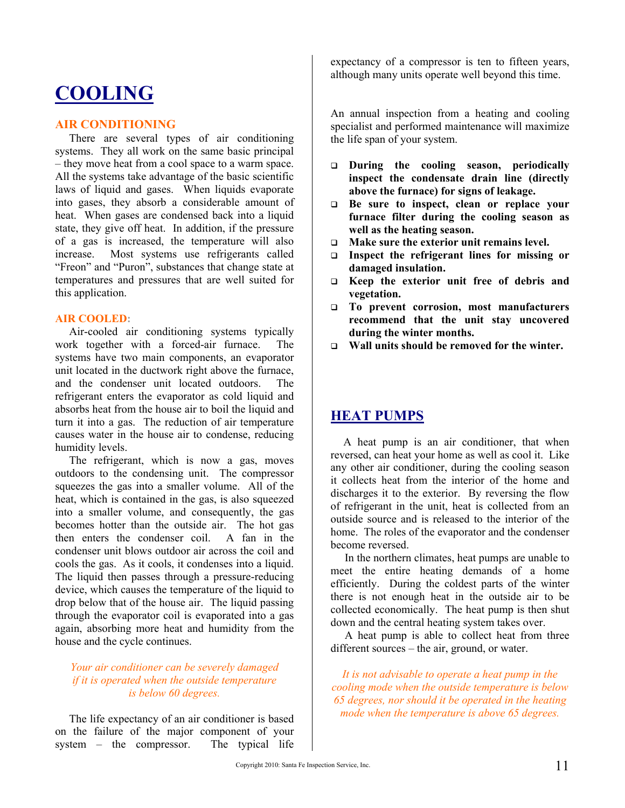# **COOLING**

#### **AIR CONDITIONING**

 There are several types of air conditioning systems. They all work on the same basic principal – they move heat from a cool space to a warm space. All the systems take advantage of the basic scientific laws of liquid and gases. When liquids evaporate into gases, they absorb a considerable amount of heat. When gases are condensed back into a liquid state, they give off heat. In addition, if the pressure of a gas is increased, the temperature will also increase. Most systems use refrigerants called "Freon" and "Puron", substances that change state at temperatures and pressures that are well suited for this application.

#### **AIR COOLED:**

 Air-cooled air conditioning systems typically work together with a forced-air furnace. The systems have two main components, an evaporator unit located in the ductwork right above the furnace, and the condenser unit located outdoors. The refrigerant enters the evaporator as cold liquid and absorbs heat from the house air to boil the liquid and turn it into a gas. The reduction of air temperature causes water in the house air to condense, reducing humidity levels.

 The refrigerant, which is now a gas, moves outdoors to the condensing unit. The compressor squeezes the gas into a smaller volume. All of the heat, which is contained in the gas, is also squeezed into a smaller volume, and consequently, the gas becomes hotter than the outside air. The hot gas then enters the condenser coil. A fan in the condenser unit blows outdoor air across the coil and cools the gas. As it cools, it condenses into a liquid. The liquid then passes through a pressure-reducing device, which causes the temperature of the liquid to drop below that of the house air. The liquid passing through the evaporator coil is evaporated into a gas again, absorbing more heat and humidity from the house and the cycle continues.

#### *Your air conditioner can be severely damaged if it is operated when the outside temperature is below 60 degrees.*

 The life expectancy of an air conditioner is based on the failure of the major component of your system – the compressor. The typical life expectancy of a compressor is ten to fifteen years, although many units operate well beyond this time.

An annual inspection from a heating and cooling specialist and performed maintenance will maximize the life span of your system.

- **During the cooling season, periodically inspect the condensate drain line (directly above the furnace) for signs of leakage.**
- **Be sure to inspect, clean or replace your furnace filter during the cooling season as well as the heating season.**
- **Make sure the exterior unit remains level.**
- **Inspect the refrigerant lines for missing or damaged insulation.**
- **Keep the exterior unit free of debris and vegetation.**
- **To prevent corrosion, most manufacturers recommend that the unit stay uncovered during the winter months.**
- **Wall units should be removed for the winter.**

# **HEAT PUMPS**

 A heat pump is an air conditioner, that when reversed, can heat your home as well as cool it. Like any other air conditioner, during the cooling season it collects heat from the interior of the home and discharges it to the exterior. By reversing the flow of refrigerant in the unit, heat is collected from an outside source and is released to the interior of the home. The roles of the evaporator and the condenser become reversed.

 In the northern climates, heat pumps are unable to meet the entire heating demands of a home efficiently. During the coldest parts of the winter there is not enough heat in the outside air to be collected economically. The heat pump is then shut down and the central heating system takes over.

 A heat pump is able to collect heat from three different sources – the air, ground, or water.

*It is not advisable to operate a heat pump in the cooling mode when the outside temperature is below 65 degrees, nor should it be operated in the heating mode when the temperature is above 65 degrees.*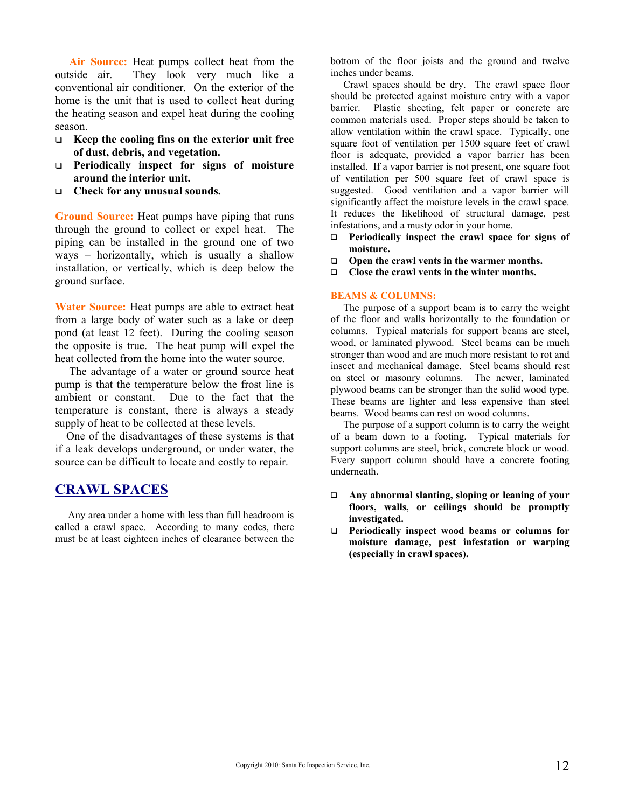**Air Source:** Heat pumps collect heat from the outside air. They look very much like a conventional air conditioner. On the exterior of the home is the unit that is used to collect heat during the heating season and expel heat during the cooling season.

- **Keep the cooling fins on the exterior unit free of dust, debris, and vegetation.**
- **Periodically inspect for signs of moisture around the interior unit.**
- **Check for any unusual sounds.**

**Ground Source:** Heat pumps have piping that runs through the ground to collect or expel heat. The piping can be installed in the ground one of two ways – horizontally, which is usually a shallow installation, or vertically, which is deep below the ground surface.

**Water Source:** Heat pumps are able to extract heat from a large body of water such as a lake or deep pond (at least 12 feet). During the cooling season the opposite is true. The heat pump will expel the heat collected from the home into the water source.

 The advantage of a water or ground source heat pump is that the temperature below the frost line is ambient or constant. Due to the fact that the temperature is constant, there is always a steady supply of heat to be collected at these levels.

 One of the disadvantages of these systems is that if a leak develops underground, or under water, the source can be difficult to locate and costly to repair.

### **CRAWL SPACES**

 Any area under a home with less than full headroom is called a crawl space. According to many codes, there must be at least eighteen inches of clearance between the bottom of the floor joists and the ground and twelve inches under beams.

 Crawl spaces should be dry. The crawl space floor should be protected against moisture entry with a vapor barrier. Plastic sheeting, felt paper or concrete are common materials used. Proper steps should be taken to allow ventilation within the crawl space. Typically, one square foot of ventilation per 1500 square feet of crawl floor is adequate, provided a vapor barrier has been installed. If a vapor barrier is not present, one square foot of ventilation per 500 square feet of crawl space is suggested. Good ventilation and a vapor barrier will significantly affect the moisture levels in the crawl space. It reduces the likelihood of structural damage, pest infestations, and a musty odor in your home.

- **Periodically inspect the crawl space for signs of moisture.**
- **Open the crawl vents in the warmer months.**
- **Close the crawl vents in the winter months.**

#### **BEAMS & COLUMNS:**

 The purpose of a support beam is to carry the weight of the floor and walls horizontally to the foundation or columns. Typical materials for support beams are steel, wood, or laminated plywood. Steel beams can be much stronger than wood and are much more resistant to rot and insect and mechanical damage. Steel beams should rest on steel or masonry columns. The newer, laminated plywood beams can be stronger than the solid wood type. These beams are lighter and less expensive than steel beams. Wood beams can rest on wood columns.

 The purpose of a support column is to carry the weight of a beam down to a footing. Typical materials for support columns are steel, brick, concrete block or wood. Every support column should have a concrete footing underneath.

- **Any abnormal slanting, sloping or leaning of your floors, walls, or ceilings should be promptly investigated.**
- **Periodically inspect wood beams or columns for moisture damage, pest infestation or warping (especially in crawl spaces).**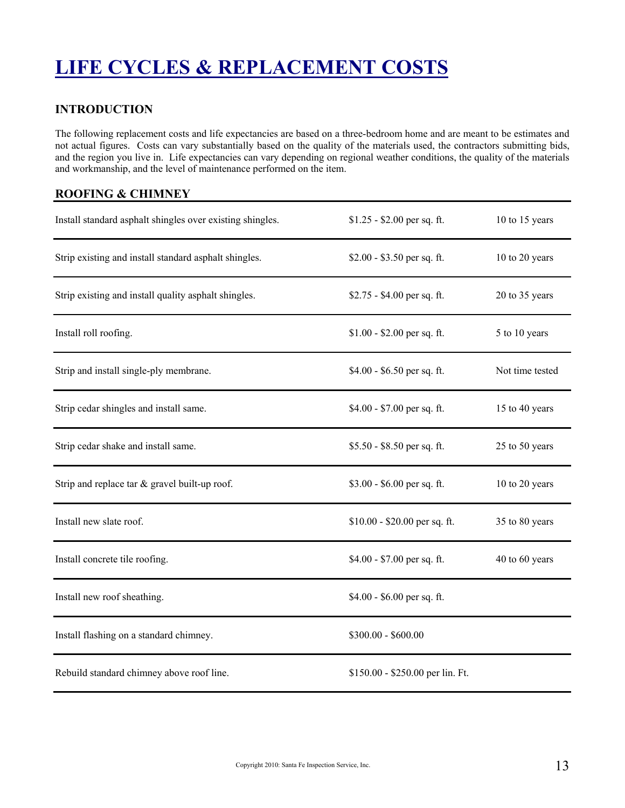# **LIFE CYCLES & REPLACEMENT COSTS**

### **INTRODUCTION**

The following replacement costs and life expectancies are based on a three-bedroom home and are meant to be estimates and not actual figures. Costs can vary substantially based on the quality of the materials used, the contractors submitting bids, and the region you live in. Life expectancies can vary depending on regional weather conditions, the quality of the materials and workmanship, and the level of maintenance performed on the item.

### **ROOFING & CHIMNEY**

| Install standard asphalt shingles over existing shingles. | $$1.25 - $2.00$ per sq. ft.      | 10 to 15 years  |
|-----------------------------------------------------------|----------------------------------|-----------------|
| Strip existing and install standard asphalt shingles.     | \$2.00 - \$3.50 per sq. ft.      | 10 to 20 years  |
| Strip existing and install quality asphalt shingles.      | \$2.75 - \$4.00 per sq. ft.      | 20 to 35 years  |
| Install roll roofing.                                     | $$1.00 - $2.00$ per sq. ft.      | 5 to 10 years   |
| Strip and install single-ply membrane.                    | \$4.00 - \$6.50 per sq. ft.      | Not time tested |
| Strip cedar shingles and install same.                    | $$4.00 - $7.00$ per sq. ft.      | 15 to 40 years  |
| Strip cedar shake and install same.                       | \$5.50 - \$8.50 per sq. ft.      | 25 to 50 years  |
| Strip and replace tar $&$ gravel built-up roof.           | $$3.00 - $6.00$ per sq. ft.      | 10 to 20 years  |
| Install new slate roof.                                   | $$10.00 - $20.00$ per sq. ft.    | 35 to 80 years  |
| Install concrete tile roofing.                            | $$4.00 - $7.00$ per sq. ft.      | 40 to 60 years  |
| Install new roof sheathing.                               | $$4.00 - $6.00$ per sq. ft.      |                 |
| Install flashing on a standard chimney.                   | $$300.00 - $600.00$              |                 |
| Rebuild standard chimney above roof line.                 | \$150.00 - \$250.00 per lin. Ft. |                 |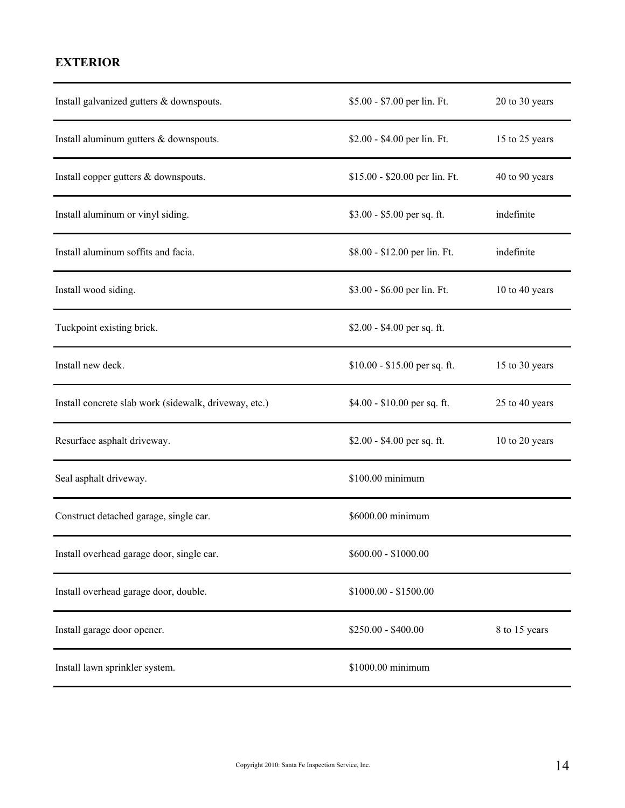# **EXTERIOR**

| Install galvanized gutters & downspouts.              | \$5.00 - \$7.00 per lin. Ft.   | 20 to 30 years |
|-------------------------------------------------------|--------------------------------|----------------|
| Install aluminum gutters & downspouts.                | \$2.00 - \$4.00 per lin. Ft.   | 15 to 25 years |
| Install copper gutters & downspouts.                  | \$15.00 - \$20.00 per lin. Ft. | 40 to 90 years |
| Install aluminum or vinyl siding.                     | $$3.00 - $5.00$ per sq. ft.    | indefinite     |
| Install aluminum soffits and facia.                   | \$8.00 - \$12.00 per lin. Ft.  | indefinite     |
| Install wood siding.                                  | \$3.00 - \$6.00 per lin. Ft.   | 10 to 40 years |
| Tuckpoint existing brick.                             | $$2.00 - $4.00$ per sq. ft.    |                |
| Install new deck.                                     | $$10.00 - $15.00$ per sq. ft.  | 15 to 30 years |
| Install concrete slab work (sidewalk, driveway, etc.) | $$4.00 - $10.00$ per sq. ft.   | 25 to 40 years |
| Resurface asphalt driveway.                           | $$2.00 - $4.00$ per sq. ft.    | 10 to 20 years |
| Seal asphalt driveway.                                | \$100.00 minimum               |                |
| Construct detached garage, single car.                | \$6000.00 minimum              |                |
| Install overhead garage door, single car.             | $$600.00 - $1000.00$           |                |
| Install overhead garage door, double.                 | $$1000.00 - $1500.00$          |                |
| Install garage door opener.                           | \$250.00 - \$400.00            | 8 to 15 years  |
| Install lawn sprinkler system.                        | \$1000.00 minimum              |                |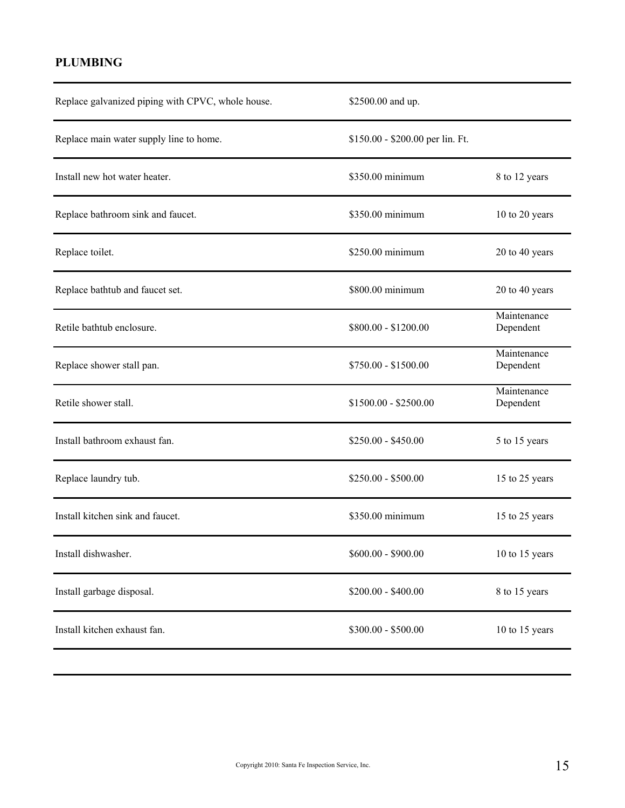# **PLUMBING**

| Replace galvanized piping with CPVC, whole house. | \$2500.00 and up.                |                          |
|---------------------------------------------------|----------------------------------|--------------------------|
| Replace main water supply line to home.           | \$150.00 - \$200.00 per lin. Ft. |                          |
| Install new hot water heater.                     | \$350.00 minimum                 | 8 to 12 years            |
| Replace bathroom sink and faucet.                 | \$350.00 minimum                 | 10 to 20 years           |
| Replace toilet.                                   | \$250.00 minimum                 | 20 to 40 years           |
| Replace bathtub and faucet set.                   | \$800.00 minimum                 | 20 to 40 years           |
| Retile bathtub enclosure.                         | \$800.00 - \$1200.00             | Maintenance<br>Dependent |
| Replace shower stall pan.                         | \$750.00 - \$1500.00             | Maintenance<br>Dependent |
| Retile shower stall.                              | $$1500.00 - $2500.00$            | Maintenance<br>Dependent |
| Install bathroom exhaust fan.                     | $$250.00 - $450.00$              | 5 to 15 years            |
| Replace laundry tub.                              | $$250.00 - $500.00$              | 15 to 25 years           |
| Install kitchen sink and faucet.                  | \$350.00 minimum                 | 15 to 25 years           |
| Install dishwasher.                               | $$600.00 - $900.00$              | 10 to 15 years           |
| Install garbage disposal.                         | $$200.00 - $400.00$              | 8 to 15 years            |
| Install kitchen exhaust fan.                      | \$300.00 - \$500.00              | 10 to 15 years           |
|                                                   |                                  |                          |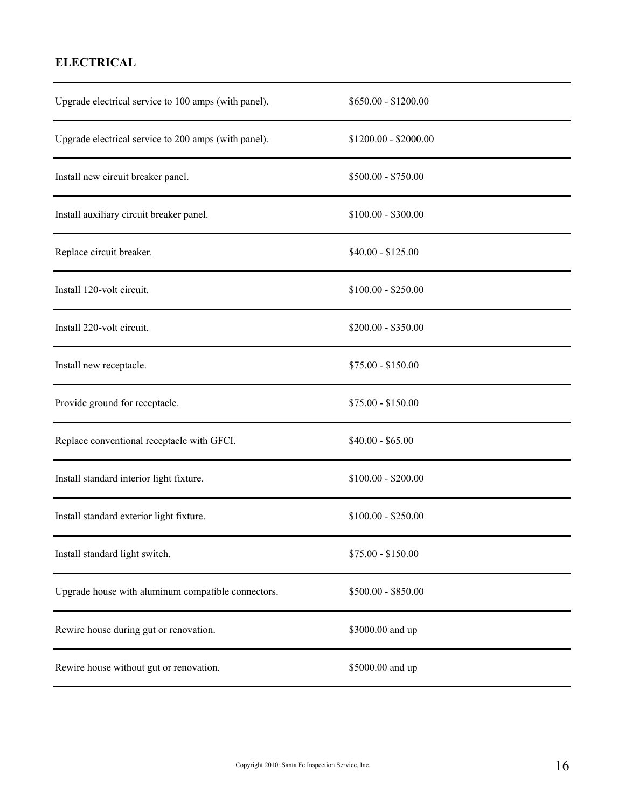# **ELECTRICAL**

| Upgrade electrical service to 100 amps (with panel). | $$650.00 - $1200.00$  |
|------------------------------------------------------|-----------------------|
| Upgrade electrical service to 200 amps (with panel). | \$1200.00 - \$2000.00 |
| Install new circuit breaker panel.                   | $$500.00 - $750.00$   |
| Install auxiliary circuit breaker panel.             | $$100.00 - $300.00$   |
| Replace circuit breaker.                             | $$40.00 - $125.00$    |
| Install 120-volt circuit.                            | $$100.00 - $250.00$   |
| Install 220-volt circuit.                            | $$200.00 - $350.00$   |
| Install new receptacle.                              | $$75.00 - $150.00$    |
| Provide ground for receptacle.                       | $$75.00 - $150.00$    |
| Replace conventional receptacle with GFCI.           | $$40.00 - $65.00$     |
| Install standard interior light fixture.             | $$100.00 - $200.00$   |
| Install standard exterior light fixture.             | $$100.00 - $250.00$   |
| Install standard light switch.                       | $$75.00 - $150.00$    |
| Upgrade house with aluminum compatible connectors.   | \$500.00 - \$850.00   |
| Rewire house during gut or renovation.               | \$3000.00 and up      |
| Rewire house without gut or renovation.              | \$5000.00 and up      |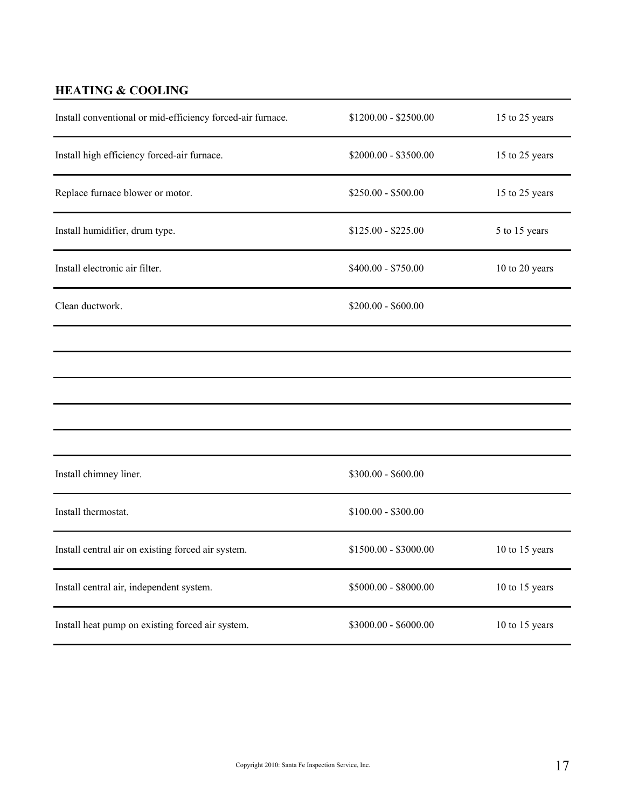# **HEATING & COOLING**

| Install conventional or mid-efficiency forced-air furnace. | $$1200.00 - $2500.00$ | 15 to 25 years |
|------------------------------------------------------------|-----------------------|----------------|
| Install high efficiency forced-air furnace.                | \$2000.00 - \$3500.00 | 15 to 25 years |
| Replace furnace blower or motor.                           | $$250.00 - $500.00$   | 15 to 25 years |
| Install humidifier, drum type.                             | $$125.00 - $225.00$   | 5 to 15 years  |
| Install electronic air filter.                             | \$400.00 - \$750.00   | 10 to 20 years |
| Clean ductwork.                                            | $$200.00 - $600.00$   |                |
|                                                            |                       |                |
|                                                            |                       |                |
|                                                            |                       |                |
|                                                            |                       |                |
|                                                            |                       |                |
| Install chimney liner.                                     | \$300.00 - \$600.00   |                |
| Install thermostat.                                        | $$100.00 - $300.00$   |                |
| Install central air on existing forced air system.         | \$1500.00 - \$3000.00 | 10 to 15 years |
| Install central air, independent system.                   | $$5000.00 - $8000.00$ | 10 to 15 years |
| Install heat pump on existing forced air system.           | $$3000.00 - $6000.00$ | 10 to 15 years |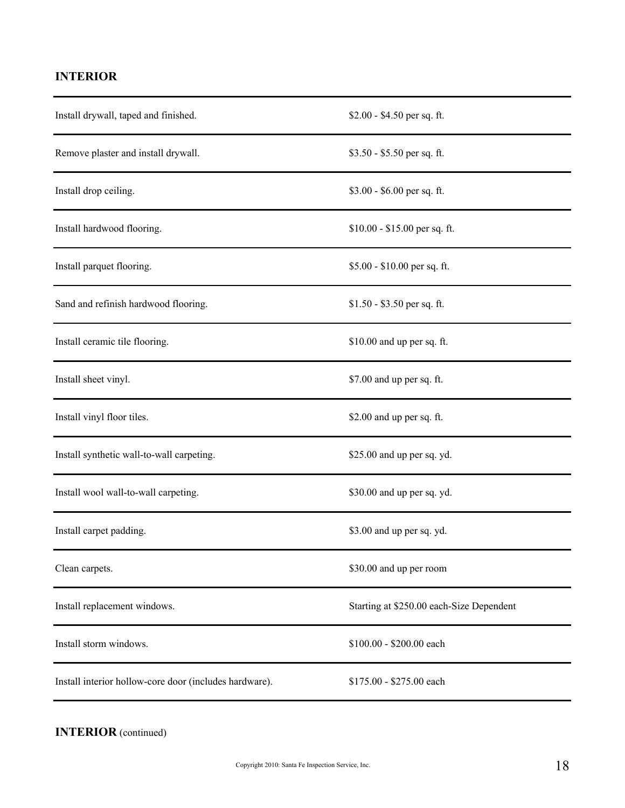# **INTERIOR**

| Install drywall, taped and finished.                   | $$2.00 - $4.50$ per sq. ft.              |
|--------------------------------------------------------|------------------------------------------|
| Remove plaster and install drywall.                    | $$3.50 - $5.50$ per sq. ft.              |
| Install drop ceiling.                                  | \$3.00 - \$6.00 per sq. ft.              |
| Install hardwood flooring.                             | \$10.00 - \$15.00 per sq. ft.            |
| Install parquet flooring.                              | $$5.00 - $10.00$ per sq. ft.             |
| Sand and refinish hardwood flooring.                   | $$1.50 - $3.50$ per sq. ft.              |
| Install ceramic tile flooring.                         | \$10.00 and up per sq. ft.               |
| Install sheet vinyl.                                   | \$7.00 and up per sq. ft.                |
| Install vinyl floor tiles.                             | \$2.00 and up per sq. ft.                |
| Install synthetic wall-to-wall carpeting.              | \$25.00 and up per sq. yd.               |
| Install wool wall-to-wall carpeting.                   | \$30.00 and up per sq. yd.               |
| Install carpet padding.                                | \$3.00 and up per sq. yd.                |
| Clean carpets.                                         | \$30.00 and up per room                  |
| Install replacement windows.                           | Starting at \$250.00 each-Size Dependent |
| Install storm windows.                                 | \$100.00 - \$200.00 each                 |
| Install interior hollow-core door (includes hardware). | \$175.00 - \$275.00 each                 |

**INTERIOR** (continued)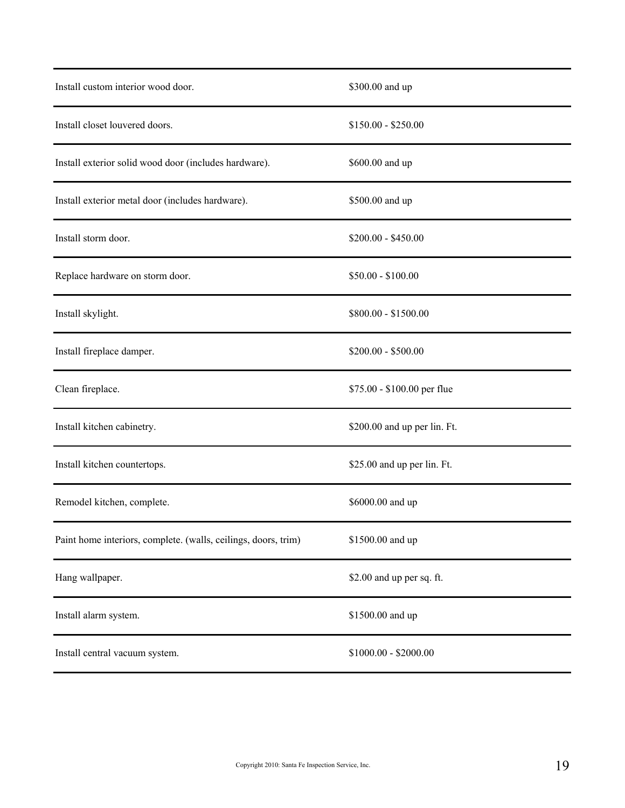| Install custom interior wood door.                             | \$300.00 and up              |
|----------------------------------------------------------------|------------------------------|
| Install closet louvered doors.                                 | $$150.00 - $250.00$          |
| Install exterior solid wood door (includes hardware).          | \$600.00 and up              |
| Install exterior metal door (includes hardware).               | \$500.00 and up              |
| Install storm door.                                            | $$200.00 - $450.00$          |
| Replace hardware on storm door.                                | $$50.00 - $100.00$           |
| Install skylight.                                              | \$800.00 - \$1500.00         |
| Install fireplace damper.                                      | $$200.00 - $500.00$          |
| Clean fireplace.                                               | \$75.00 - \$100.00 per flue  |
| Install kitchen cabinetry.                                     | \$200.00 and up per lin. Ft. |
| Install kitchen countertops.                                   | \$25.00 and up per lin. Ft.  |
| Remodel kitchen, complete.                                     | \$6000.00 and up             |
| Paint home interiors, complete. (walls, ceilings, doors, trim) | \$1500.00 and up             |
| Hang wallpaper.                                                | \$2.00 and up per sq. ft.    |
| Install alarm system.                                          | \$1500.00 and up             |
| Install central vacuum system.                                 | $$1000.00 - $2000.00$        |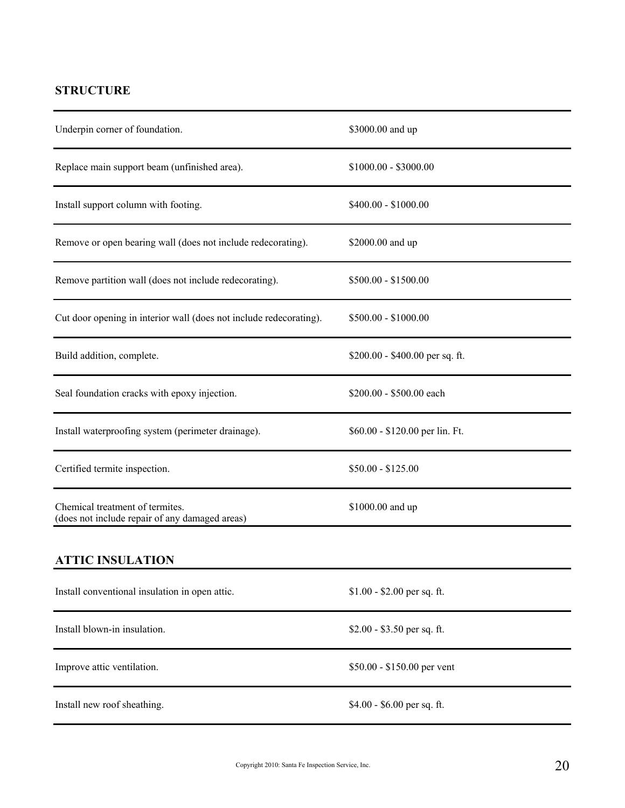## **STRUCTURE**

| Underpin corner of foundation.                                                    | \$3000.00 and up                |
|-----------------------------------------------------------------------------------|---------------------------------|
| Replace main support beam (unfinished area).                                      | $$1000.00 - $3000.00$           |
| Install support column with footing.                                              | $$400.00 - $1000.00$            |
| Remove or open bearing wall (does not include redecorating).                      | \$2000.00 and up                |
| Remove partition wall (does not include redecorating).                            | $$500.00 - $1500.00$            |
| Cut door opening in interior wall (does not include redecorating).                | $$500.00 - $1000.00$            |
| Build addition, complete.                                                         | \$200.00 - \$400.00 per sq. ft. |
| Seal foundation cracks with epoxy injection.                                      | \$200.00 - \$500.00 each        |
| Install waterproofing system (perimeter drainage).                                | \$60.00 - \$120.00 per lin. Ft. |
| Certified termite inspection.                                                     | $$50.00 - $125.00$              |
| Chemical treatment of termites.<br>(does not include repair of any damaged areas) | \$1000.00 and up                |
| <b>ATTIC INSULATION</b>                                                           |                                 |
| Install conventional insulation in open attic.                                    | $$1.00 - $2.00$ per sq. ft.     |
| Install blown-in insulation.                                                      | $$2.00 - $3.50$ per sq. ft.     |
| Improve attic ventilation.                                                        | \$50.00 - \$150.00 per vent     |
| Install new roof sheathing.                                                       | \$4.00 - \$6.00 per sq. ft.     |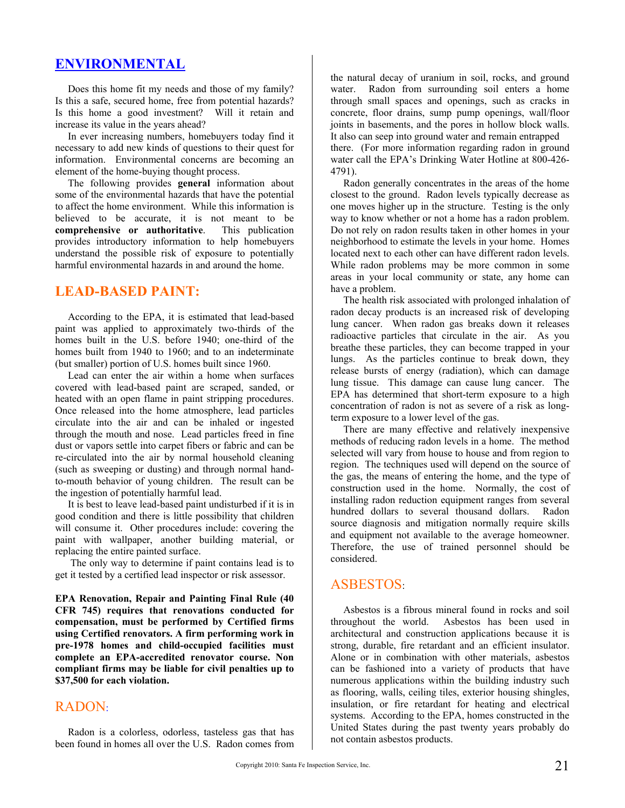### **ENVIRONMENTAL**

 Does this home fit my needs and those of my family? Is this a safe, secured home, free from potential hazards? Is this home a good investment? Will it retain and increase its value in the years ahead?

 In ever increasing numbers, homebuyers today find it necessary to add new kinds of questions to their quest for information. Environmental concerns are becoming an element of the home-buying thought process.

 The following provides **general** information about some of the environmental hazards that have the potential to affect the home environment. While this information is believed to be accurate, it is not meant to be **comprehensive or authoritative**. This publication provides introductory information to help homebuyers understand the possible risk of exposure to potentially harmful environmental hazards in and around the home.

### **LEAD-BASED PAINT:**

 According to the EPA, it is estimated that lead-based paint was applied to approximately two-thirds of the homes built in the U.S. before 1940; one-third of the homes built from 1940 to 1960; and to an indeterminate (but smaller) portion of U.S. homes built since 1960.

 Lead can enter the air within a home when surfaces covered with lead-based paint are scraped, sanded, or heated with an open flame in paint stripping procedures. Once released into the home atmosphere, lead particles circulate into the air and can be inhaled or ingested through the mouth and nose. Lead particles freed in fine dust or vapors settle into carpet fibers or fabric and can be re-circulated into the air by normal household cleaning (such as sweeping or dusting) and through normal handto-mouth behavior of young children. The result can be the ingestion of potentially harmful lead.

 It is best to leave lead-based paint undisturbed if it is in good condition and there is little possibility that children will consume it. Other procedures include: covering the paint with wallpaper, another building material, or replacing the entire painted surface.

 The only way to determine if paint contains lead is to get it tested by a certified lead inspector or risk assessor.

**EPA Renovation, Repair and Painting Final Rule (40 CFR 745) requires that renovations conducted for compensation, must be performed by Certified firms using Certified renovators. A firm performing work in pre-1978 homes and child-occupied facilities must complete an EPA-accredited renovator course. Non compliant firms may be liable for civil penalties up to \$37,500 for each violation.** 

### RADON:

 Radon is a colorless, odorless, tasteless gas that has been found in homes all over the U.S. Radon comes from the natural decay of uranium in soil, rocks, and ground water. Radon from surrounding soil enters a home through small spaces and openings, such as cracks in concrete, floor drains, sump pump openings, wall/floor joints in basements, and the pores in hollow block walls. It also can seep into ground water and remain entrapped there. (For more information regarding radon in ground water call the EPA's Drinking Water Hotline at 800-426- 4791).

 Radon generally concentrates in the areas of the home closest to the ground. Radon levels typically decrease as one moves higher up in the structure. Testing is the only way to know whether or not a home has a radon problem. Do not rely on radon results taken in other homes in your neighborhood to estimate the levels in your home. Homes located next to each other can have different radon levels. While radon problems may be more common in some areas in your local community or state, any home can have a problem.

 The health risk associated with prolonged inhalation of radon decay products is an increased risk of developing lung cancer. When radon gas breaks down it releases radioactive particles that circulate in the air. As you breathe these particles, they can become trapped in your lungs. As the particles continue to break down, they release bursts of energy (radiation), which can damage lung tissue. This damage can cause lung cancer. The EPA has determined that short-term exposure to a high concentration of radon is not as severe of a risk as longterm exposure to a lower level of the gas.

 There are many effective and relatively inexpensive methods of reducing radon levels in a home. The method selected will vary from house to house and from region to region. The techniques used will depend on the source of the gas, the means of entering the home, and the type of construction used in the home. Normally, the cost of installing radon reduction equipment ranges from several hundred dollars to several thousand dollars. Radon source diagnosis and mitigation normally require skills and equipment not available to the average homeowner. Therefore, the use of trained personnel should be considered.

### ASBESTOS:

 Asbestos is a fibrous mineral found in rocks and soil throughout the world. Asbestos has been used in architectural and construction applications because it is strong, durable, fire retardant and an efficient insulator. Alone or in combination with other materials, asbestos can be fashioned into a variety of products that have numerous applications within the building industry such as flooring, walls, ceiling tiles, exterior housing shingles, insulation, or fire retardant for heating and electrical systems. According to the EPA, homes constructed in the United States during the past twenty years probably do not contain asbestos products.